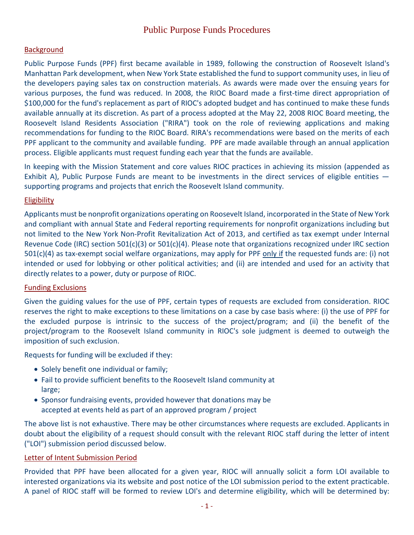## **Background**

Public Purpose Funds (PPF) first became available in 1989, following the construction of Roosevelt Island's Manhattan Park development, when New York State established the fund to support community uses, in lieu of the developers paying sales tax on construction materials. As awards were made over the ensuing years for various purposes, the fund was reduced. In 2008, the RIOC Board made a first-time direct appropriation of \$100,000 for the fund's replacement as part of RIOC's adopted budget and has continued to make these funds available annually at its discretion. As part of a process adopted at the May 22, 2008 RIOC Board meeting, the Roosevelt Island Residents Association ("RIRA") took on the role of reviewing applications and making recommendations for funding to the RIOC Board. RIRA's recommendations were based on the merits of each PPF applicant to the community and available funding. PPF are made available through an annual application process. Eligible applicants must request funding each year that the funds are available.

In keeping with the Mission Statement and core values RIOC practices in achieving its mission (appended as Exhibit A), Public Purpose Funds are meant to be investments in the direct services of eligible entities supporting programs and projects that enrich the Roosevelt Island community.

### Eligibility

Applicants must be nonprofit organizations operating on Roosevelt Island, incorporated in the State of New York and compliant with annual State and Federal reporting requirements for nonprofit organizations including but not limited to the New York Non-Profit Revitalization Act of 2013, and certified as tax exempt under Internal Revenue Code (IRC) section 501(c)(3) or 501(c)(4). Please note that organizations recognized under IRC section 501(c)(4) as tax-exempt social welfare organizations, may apply for PPF only if the requested funds are: (i) not intended or used for lobbying or other political activities; and (ii) are intended and used for an activity that directly relates to a power, duty or purpose of RIOC.

# Funding Exclusions

Given the guiding values for the use of PPF, certain types of requests are excluded from consideration. RIOC reserves the right to make exceptions to these limitations on a case by case basis where: (i) the use of PPF for the excluded purpose is intrinsic to the success of the project/program; and (ii) the benefit of the project/program to the Roosevelt Island community in RIOC's sole judgment is deemed to outweigh the imposition of such exclusion.

Requests for funding will be excluded if they:

- Solely benefit one individual or family;
- Fail to provide sufficient benefits to the Roosevelt Island community at large;
- Sponsor fundraising events, provided however that donations may be accepted at events held as part of an approved program / project

The above list is not exhaustive. There may be other circumstances where requests are excluded. Applicants in doubt about the eligibility of a request should consult with the relevant RIOC staff during the letter of intent ("LOI") submission period discussed below.

### Letter of Intent Submission Period

Provided that PPF have been allocated for a given year, RIOC will annually solicit a form LOI available to interested organizations via its website and post notice of the LOI submission period to the extent practicable. A panel of RIOC staff will be formed to review LOI's and determine eligibility, which will be determined by: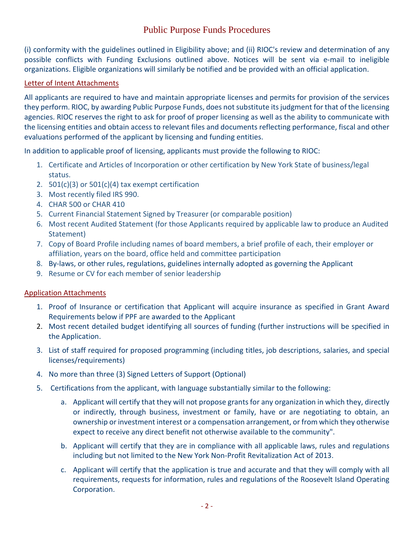# Public Purpose Funds Procedures

(i) conformity with the guidelines outlined in Eligibility above; and (ii) RIOC's review and determination of any possible conflicts with Funding Exclusions outlined above. Notices will be sent via e-mail to ineligible organizations. Eligible organizations will similarly be notified and be provided with an official application.

#### Letter of Intent Attachments

All applicants are required to have and maintain appropriate licenses and permits for provision of the services they perform. RIOC, by awarding Public Purpose Funds, does not substitute its judgment for that of the licensing agencies. RIOC reserves the right to ask for proof of proper licensing as well as the ability to communicate with the licensing entities and obtain access to relevant files and documents reflecting performance, fiscal and other evaluations performed of the applicant by licensing and funding entities.

In addition to applicable proof of licensing, applicants must provide the following to RIOC:

- 1. Certificate and Articles of Incorporation or other certification by New York State of business/legal status.
- 2.  $501(c)(3)$  or  $501(c)(4)$  tax exempt certification
- 3. Most recently filed IRS 990.
- 4. CHAR 500 or CHAR 410
- 5. Current Financial Statement Signed by Treasurer (or comparable position)
- 6. Most recent Audited Statement (for those Applicants required by applicable law to produce an Audited Statement)
- 7. Copy of Board Profile including names of board members, a brief profile of each, their employer or affiliation, years on the board, office held and committee participation
- 8. By-laws, or other rules, regulations, guidelines internally adopted as governing the Applicant
- 9. Resume or CV for each member of senior leadership

### Application Attachments

- 1. Proof of Insurance or certification that Applicant will acquire insurance as specified in Grant Award Requirements below if PPF are awarded to the Applicant
- 2. Most recent detailed budget identifying all sources of funding (further instructions will be specified in the Application.
- 3. List of staff required for proposed programming (including titles, job descriptions, salaries, and special licenses/requirements)
- 4. No more than three (3) Signed Letters of Support (Optional)
- 5. Certifications from the applicant, with language substantially similar to the following:
	- a. Applicant will certify that they will not propose grants for any organization in which they, directly or indirectly, through business, investment or family, have or are negotiating to obtain, an ownership or investment interest or a compensation arrangement, or from which they otherwise expect to receive any direct benefit not otherwise available to the community".
	- b. Applicant will certify that they are in compliance with all applicable laws, rules and regulations including but not limited to the New York Non-Profit Revitalization Act of 2013.
	- c. Applicant will certify that the application is true and accurate and that they will comply with all requirements, requests for information, rules and regulations of the Roosevelt Island Operating Corporation.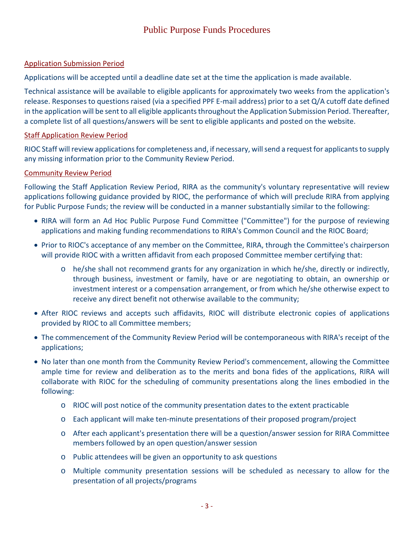### Application Submission Period

Applications will be accepted until a deadline date set at the time the application is made available.

Technical assistance will be available to eligible applicants for approximately two weeks from the application's release. Responses to questions raised (via a specified PPF E-mail address) prior to a set Q/A cutoff date defined in the application will be sent to all eligible applicants throughout the Application Submission Period. Thereafter, a complete list of all questions/answers will be sent to eligible applicants and posted on the website.

### Staff Application Review Period

RIOC Staff will review applications for completeness and, if necessary, will send a request for applicants to supply any missing information prior to the Community Review Period.

## Community Review Period

Following the Staff Application Review Period, RIRA as the community's voluntary representative will review applications following guidance provided by RIOC, the performance of which will preclude RIRA from applying for Public Purpose Funds; the review will be conducted in a manner substantially similar to the following:

- RIRA will form an Ad Hoc Public Purpose Fund Committee ("Committee") for the purpose of reviewing applications and making funding recommendations to RIRA's Common Council and the RIOC Board;
- Prior to RIOC's acceptance of any member on the Committee, RIRA, through the Committee's chairperson will provide RIOC with a written affidavit from each proposed Committee member certifying that:
	- o he/she shall not recommend grants for any organization in which he/she, directly or indirectly, through business, investment or family, have or are negotiating to obtain, an ownership or investment interest or a compensation arrangement, or from which he/she otherwise expect to receive any direct benefit not otherwise available to the community;
- After RIOC reviews and accepts such affidavits, RIOC will distribute electronic copies of applications provided by RIOC to all Committee members;
- The commencement of the Community Review Period will be contemporaneous with RIRA's receipt of the applications;
- No later than one month from the Community Review Period's commencement, allowing the Committee ample time for review and deliberation as to the merits and bona fides of the applications, RIRA will collaborate with RIOC for the scheduling of community presentations along the lines embodied in the following:
	- o RIOC will post notice of the community presentation dates to the extent practicable
	- o Each applicant will make ten-minute presentations of their proposed program/project
	- o After each applicant's presentation there will be a question/answer session for RIRA Committee members followed by an open question/answer session
	- o Public attendees will be given an opportunity to ask questions
	- o Multiple community presentation sessions will be scheduled as necessary to allow for the presentation of all projects/programs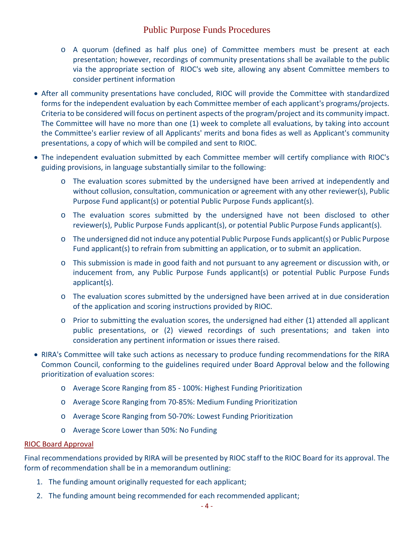# Public Purpose Funds Procedures

- o A quorum (defined as half plus one) of Committee members must be present at each presentation; however, recordings of community presentations shall be available to the public via the appropriate section of RIOC's web site, allowing any absent Committee members to consider pertinent information
- After all community presentations have concluded, RIOC will provide the Committee with standardized forms for the independent evaluation by each Committee member of each applicant's programs/projects. Criteria to be considered will focus on pertinent aspects of the program/project and its community impact. The Committee will have no more than one (1) week to complete all evaluations, by taking into account the Committee's earlier review of all Applicants' merits and bona fides as well as Applicant's community presentations, a copy of which will be compiled and sent to RIOC.
- The independent evaluation submitted by each Committee member will certify compliance with RIOC's guiding provisions, in language substantially similar to the following:
	- o The evaluation scores submitted by the undersigned have been arrived at independently and without collusion, consultation, communication or agreement with any other reviewer(s), Public Purpose Fund applicant(s) or potential Public Purpose Funds applicant(s).
	- o The evaluation scores submitted by the undersigned have not been disclosed to other reviewer(s), Public Purpose Funds applicant(s), or potential Public Purpose Funds applicant(s).
	- o The undersigned did not induce any potential Public Purpose Funds applicant(s) or Public Purpose Fund applicant(s) to refrain from submitting an application, or to submit an application.
	- o This submission is made in good faith and not pursuant to any agreement or discussion with, or inducement from, any Public Purpose Funds applicant(s) or potential Public Purpose Funds applicant(s).
	- o The evaluation scores submitted by the undersigned have been arrived at in due consideration of the application and scoring instructions provided by RIOC.
	- $\circ$  Prior to submitting the evaluation scores, the undersigned had either (1) attended all applicant public presentations, or (2) viewed recordings of such presentations; and taken into consideration any pertinent information or issues there raised.
- RIRA's Committee will take such actions as necessary to produce funding recommendations for the RIRA Common Council, conforming to the guidelines required under Board Approval below and the following prioritization of evaluation scores:
	- o Average Score Ranging from 85 100%: Highest Funding Prioritization
	- o Average Score Ranging from 70-85%: Medium Funding Prioritization
	- o Average Score Ranging from 50-70%: Lowest Funding Prioritization
	- o Average Score Lower than 50%: No Funding

#### RIOC Board Approval

Final recommendations provided by RIRA will be presented by RIOC staff to the RIOC Board for its approval. The form of recommendation shall be in a memorandum outlining:

- 1. The funding amount originally requested for each applicant;
- 2. The funding amount being recommended for each recommended applicant;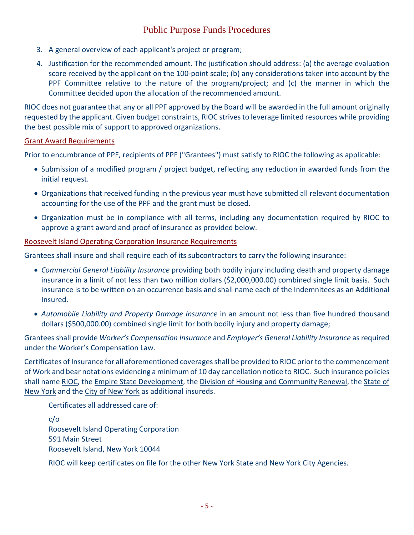# Public Purpose Funds Procedures

- 3. A general overview of each applicant's project or program;
- 4. Justification for the recommended amount. The justification should address: (a) the average evaluation score received by the applicant on the 100-point scale; (b) any considerations taken into account by the PPF Committee relative to the nature of the program/project; and (c) the manner in which the Committee decided upon the allocation of the recommended amount.

RIOC does not guarantee that any or all PPF approved by the Board will be awarded in the full amount originally requested by the applicant. Given budget constraints, RIOC strives to leverage limited resources while providing the best possible mix of support to approved organizations.

#### Grant Award Requirements

Prior to encumbrance of PPF, recipients of PPF ("Grantees") must satisfy to RIOC the following as applicable:

- Submission of a modified program / project budget, reflecting any reduction in awarded funds from the initial request.
- Organizations that received funding in the previous year must have submitted all relevant documentation accounting for the use of the PPF and the grant must be closed.
- Organization must be in compliance with all terms, including any documentation required by RIOC to approve a grant award and proof of insurance as provided below.

#### Roosevelt Island Operating Corporation Insurance Requirements

Grantees shall insure and shall require each of its subcontractors to carry the following insurance:

- *Commercial General Liability Insurance* providing both bodily injury including death and property damage insurance in a limit of not less than two million dollars (\$2,000,000.00) combined single limit basis. Such insurance is to be written on an occurrence basis and shall name each of the Indemnitees as an Additional Insured.
- *Automobile Liability and Property Damage Insurance* in an amount not less than five hundred thousand dollars (\$500,000.00) combined single limit for both bodily injury and property damage;

Grantees shall provide *Worker's Compensation Insurance* and *Employer's General Liability Insurance* as required under the Worker's Compensation Law.

Certificates of Insurance for all aforementioned coverages shall be provided to RIOC prior to the commencement of Work and bear notations evidencing a minimum of 10 day cancellation notice to RIOC. Such insurance policies shall name RIOC, the Empire State Development, the Division of Housing and Community Renewal, the State of New York and the City of New York as additional insureds.

Certificates all addressed care of:

c/o Roosevelt Island Operating Corporation 591 Main Street Roosevelt Island, New York 10044

RIOC will keep certificates on file for the other New York State and New York City Agencies.